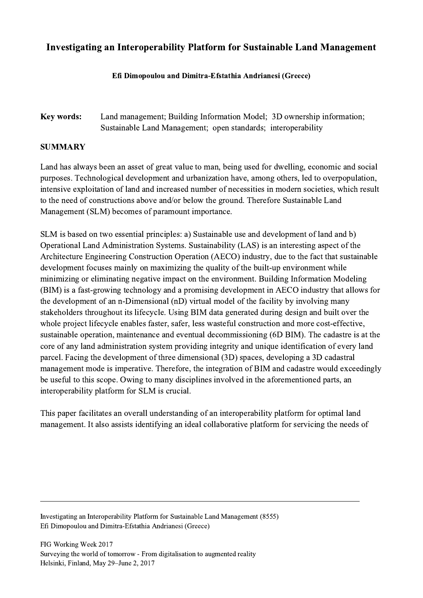## Investigating an Interoperability Platform for Sustainable Land Management

## Efi Dimopoulou and Dimitra-Efstathia Andrianesi (Greece)

Key words: Land management; Building Information Model; 3D ownership information; Sustainable Land Management; open standards; interoperability

## SUMMARY

Land has always been an asset of great value to man, being used for dwelling, economic and social purposes. Technological development and urbanization have, among others, led to overpopulation, intensive exploitation of land and increased number of necessities in modern societies, which result to the need of constructions above and/or below the ground. Therefore Sustainable Land Management (SLM) becomes of paramount importance.

SLM is based on two essential principles: a) Sustainable use and development of land and b) Operational Land Administration Systems. Sustainability (LAS) is an interesting aspect of the Architecture Engineering Construction Operation (AECO) industry, due to the fact that sustainable development focuses mainly on maximizing the quality of the built-up environment while minimizing or eliminating negative impact on the environment. Building Information Modeling (BIM) is a fast-growing technology and a promising development in AECO industry that allows for the development of an n-Dimensional (nD) virtual model of the facility by involving many stakeholders throughout its lifecycle. Using BIM data generated during design and built over the whole project lifecycle enables faster, safer, less wasteful construction and more cost-effective, sustainable operation, maintenance and eventual decommissioning (6D BIM). The cadastre is at the core of any land administration system providing integrity and unique identification of every land parcel. Facing the development of three dimensional (3D) spaces, developing a 3D cadastral management mode is imperative. Therefore, the integration of BIM and cadastre would exceedingly be useful to this scope. Owing to many disciplines involved in the aforementioned parts, an interoperability platform for SLM is crucial.

This paper facilitates an overall understanding of an interoperability platform for optimal land management. It also assists identifying an ideal collaborative platform for servicing the needs of

 $\mathcal{L}_\mathcal{L} = \{ \mathcal{L}_\mathcal{L} = \{ \mathcal{L}_\mathcal{L} = \{ \mathcal{L}_\mathcal{L} = \{ \mathcal{L}_\mathcal{L} = \{ \mathcal{L}_\mathcal{L} = \{ \mathcal{L}_\mathcal{L} = \{ \mathcal{L}_\mathcal{L} = \{ \mathcal{L}_\mathcal{L} = \{ \mathcal{L}_\mathcal{L} = \{ \mathcal{L}_\mathcal{L} = \{ \mathcal{L}_\mathcal{L} = \{ \mathcal{L}_\mathcal{L} = \{ \mathcal{L}_\mathcal{L} = \{ \mathcal{L}_\mathcal{$ 

Investigating an Interoperability Platform for Sustainable Land Management (8555) Efi Dimopoulou and Dimitra-Efstathia Andrianesi (Greece)